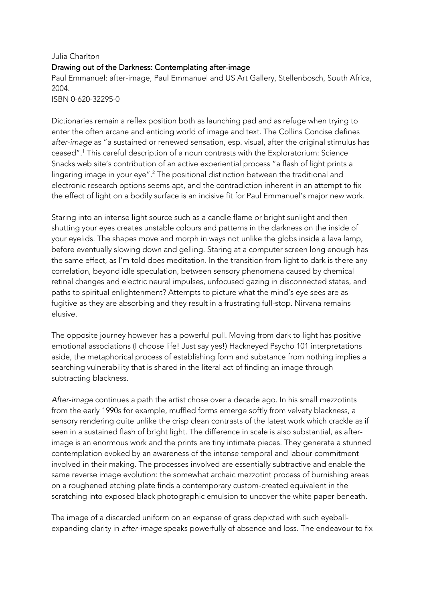## Julia Charlton Drawing out of the Darkness: Contemplating after-image

Paul Emmanuel: after-image, Paul Emmanuel and US Art Gallery, Stellenbosch, South Africa, 2004.

ISBN 0-620-32295-0

Dictionaries remain a reflex position both as launching pad and as refuge when trying to enter the often arcane and enticing world of image and text. The Collins Concise defines *after-image* as "a sustained or renewed sensation, esp. visual, after the original stimulus has ceased".1 This careful description of a noun contrasts with the Exploratorium: Science Snacks web site's contribution of an active experiential process "a flash of light prints a lingering image in your eye".<sup>2</sup> The positional distinction between the traditional and electronic research options seems apt, and the contradiction inherent in an attempt to fix the effect of light on a bodily surface is an incisive fit for Paul Emmanuel's major new work.

Staring into an intense light source such as a candle flame or bright sunlight and then shutting your eyes creates unstable colours and patterns in the darkness on the inside of your eyelids. The shapes move and morph in ways not unlike the globs inside a lava lamp, before eventually slowing down and gelling. Staring at a computer screen long enough has the same effect, as I'm told does meditation. In the transition from light to dark is there any correlation, beyond idle speculation, between sensory phenomena caused by chemical retinal changes and electric neural impulses, unfocused gazing in disconnected states, and paths to spiritual enlightenment? Attempts to picture what the mind's eye sees are as fugitive as they are absorbing and they result in a frustrating full-stop. Nirvana remains elusive.

The opposite journey however has a powerful pull. Moving from dark to light has positive emotional associations (I choose life! Just say yes!) Hackneyed Psycho 101 interpretations aside, the metaphorical process of establishing form and substance from nothing implies a searching vulnerability that is shared in the literal act of finding an image through subtracting blackness.

*After-image* continues a path the artist chose over a decade ago. In his small mezzotints from the early 1990s for example, muffled forms emerge softly from velvety blackness, a sensory rendering quite unlike the crisp clean contrasts of the latest work which crackle as if seen in a sustained flash of bright light. The difference in scale is also substantial, as afterimage is an enormous work and the prints are tiny intimate pieces. They generate a stunned contemplation evoked by an awareness of the intense temporal and labour commitment involved in their making. The processes involved are essentially subtractive and enable the same reverse image evolution: the somewhat archaic mezzotint process of burnishing areas on a roughened etching plate finds a contemporary custom-created equivalent in the scratching into exposed black photographic emulsion to uncover the white paper beneath.

The image of a discarded uniform on an expanse of grass depicted with such eyeballexpanding clarity in *after-image* speaks powerfully of absence and loss. The endeavour to fix